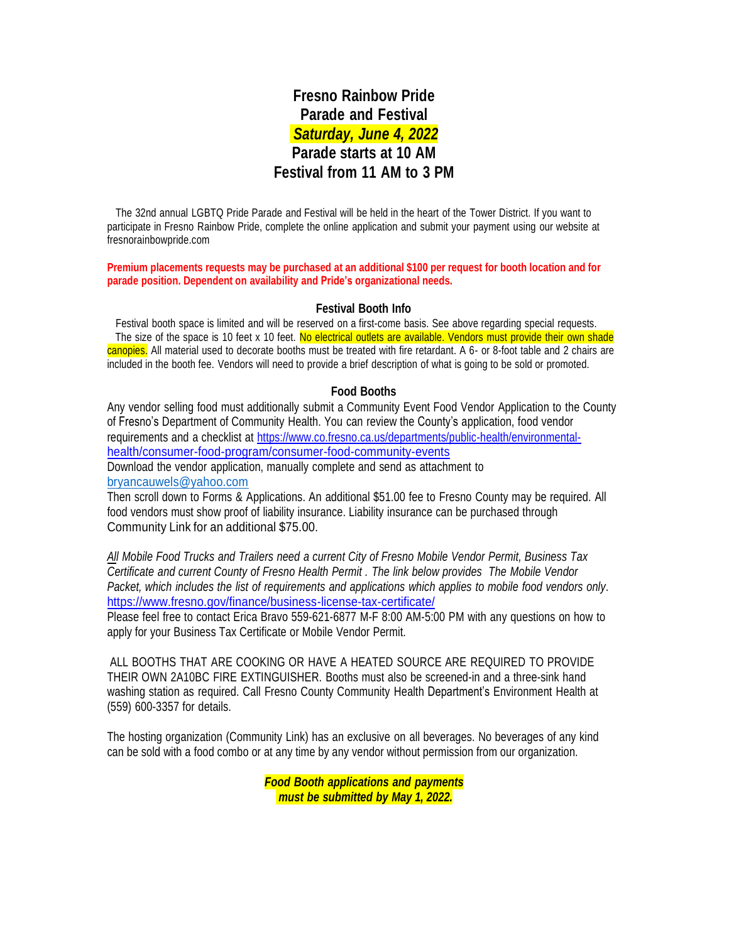# **Fresno Rainbow Pride Parade and Festival** *Saturday, June 4, 2022* **Parade starts at 10 AM Festival from 11 AM to 3 PM**

The 32nd annual LGBTQ Pride Parade and Festival will be held in the heart of the Tower District. If you want to participate in Fresno Rainbow Pride, complete the online application and submit your payment using our website at fresnorainbowpride.com

**Premium placements requests may be purchased at an additional \$100 per request for booth location and for parade position. Dependent on availability and Pride's organizational needs.**

#### **Festival Booth Info**

Festival booth space is limited and will be reserved on a first-come basis. See above regarding special requests. The size of the space is 10 feet x 10 feet. No electrical outlets are available. Vendors must provide their own shade canopies. All material used to decorate booths must be treated with fire retardant. A 6- or 8-foot table and 2 chairs are included in the booth fee. Vendors will need to provide a brief description of what is going to be sold or promoted.

#### **Food Booths**

Any vendor selling food must additionally submit a Community Event Food Vendor Application to the County of Fresno's Department of Community Health. You can review the County's application, food vendor requirements and a checklist at [https://www.co.fresno.ca.us/departments/public-health/environmental](https://www.co.fresno.ca.us/departments/public-health/environmental-health/consumer-food-program/consumer-food-community-events)[health/consumer-food-program/consumer-food-community-events](https://www.co.fresno.ca.us/departments/public-health/environmental-health/consumer-food-program/consumer-food-community-events) Download the vendor application, manually complete and send as attachment to

[bryancauwels@yahoo.com](mailto:bryancauwels@yahoo.com) Then scroll down to Forms & Applications. An additional \$51.00 fee to Fresno County may be required. All food vendors must show proof of liability insurance. Liability insurance can be purchased through Community Link for an additional \$75.00.

*All Mobile Food Trucks and Trailers need a current City of Fresno Mobile Vendor Permit, Business Tax Certificate and current County of Fresno Health Permit . The link below provides The Mobile Vendor Packet, which includes the list of requirements and applications which applies to mobile food vendors only*. <https://www.fresno.gov/finance/business-license-tax-certificate/>

Please feel free to contact Erica Bravo 559-621-6877 M-F 8:00 AM-5:00 PM with any questions on how to apply for your Business Tax Certificate or Mobile Vendor Permit.

ALL BOOTHS THAT ARE COOKING OR HAVE A HEATED SOURCE ARE REQUIRED TO PROVIDE THEIR OWN 2A10BC FIRE EXTINGUISHER. Booths must also be screened-in and a three-sink hand washing station as required. Call Fresno County Community Health Department's Environment Health at (559) 600-3357 for details.

The hosting organization (Community Link) has an exclusive on all beverages. No beverages of any kind can be sold with a food combo or at any time by any vendor without permission from our organization.

> *Food Booth applications and payments must be submitted by May 1, 2022.*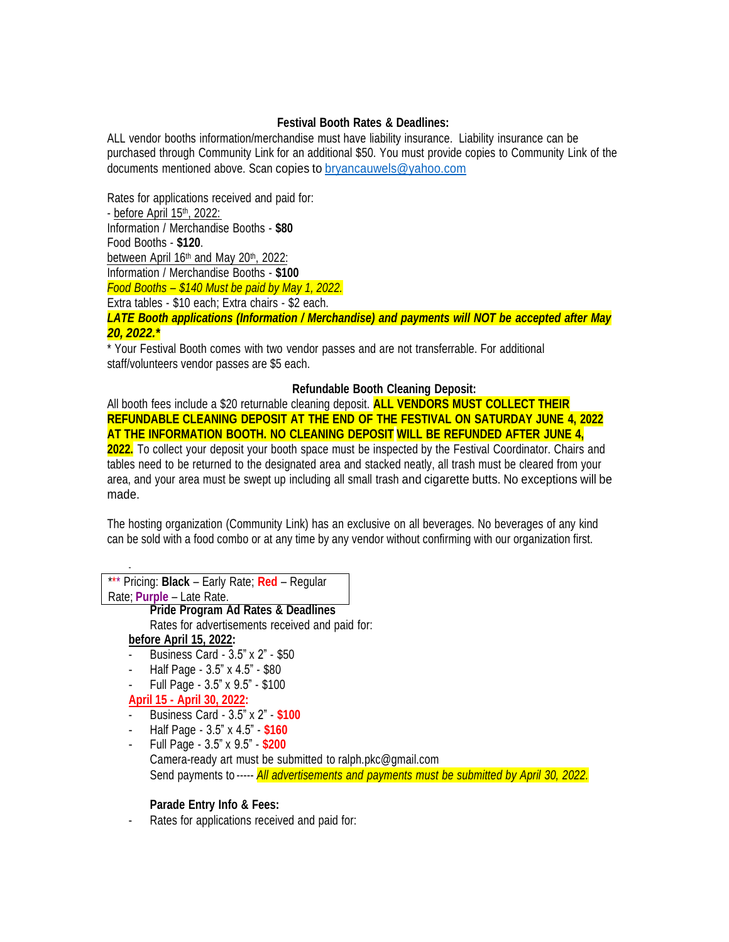#### **Festival Booth Rates & Deadlines:**

ALL vendor booths information/merchandise must have liability insurance. Liability insurance can be purchased through Community Link for an additional \$50. You must provide copies to Community Link of the documents mentioned above. Scan copies to [bryancauwels@yahoo.com](mailto:bryancauwels@yahoo.com)

Rates for applications received and paid for: - <u>before April 15th, 2022:</u> Information / Merchandise Booths - **\$80** Food Booths - **\$120**. between April 16<sup>th</sup> and May 20<sup>th</sup>, 2022: Information / Merchandise Booths - **\$100** *Food Booths – \$140 Must be paid by May 1, 2022.* Extra tables - \$10 each; Extra chairs - \$2 each. *LATE Booth applications (Information / Merchandise) and payments will NOT be accepted after May 20, 2022.\**

\* Your Festival Booth comes with two vendor passes and are not transferrable. For additional staff/volunteers vendor passes are \$5 each.

## **Refundable Booth Cleaning Deposit:**

All booth fees include a \$20 returnable cleaning deposit. **ALL VENDORS MUST COLLECT THEIR REFUNDABLE CLEANING DEPOSIT AT THE END OF THE FESTIVAL ON SATURDAY JUNE 4, 2022 AT THE INFORMATION BOOTH. NO CLEANING DEPOSIT WILL BE REFUNDED AFTER JUNE 4,**

**2022.** To collect your deposit your booth space must be inspected by the Festival Coordinator. Chairs and tables need to be returned to the designated area and stacked neatly, all trash must be cleared from your area, and your area must be swept up including all small trash and cigarette butts. No exceptions will be made.

The hosting organization (Community Link) has an exclusive on all beverages. No beverages of any kind can be sold with a food combo or at any time by any vendor without confirming with our organization first.

| *** Pricing: <b>Black</b> – Early Rate; <b>Red</b> – Regular                                |
|---------------------------------------------------------------------------------------------|
| Rate; Purple - Late Rate.                                                                   |
| <b>Pride Program Ad Rates &amp; Deadlines</b>                                               |
| Rates for advertisements received and paid for:                                             |
| before April 15, 2022:                                                                      |
| Business Card - 3.5" x 2" - \$50                                                            |
| Half Page - 3.5" x 4.5" - \$80                                                              |
| Full Page - 3.5" x 9.5" - \$100                                                             |
| April 15 - April 30, 2022:                                                                  |
| Business Card - 3.5" x 2" - \$100                                                           |
| Half Page - 3.5" x 4.5" - \$160                                                             |
| Full Page - 3.5" x 9.5" - \$200                                                             |
| Camera-ready art must be submitted to ralph.pkc@gmail.com                                   |
| Send payments to ----- All advertisements and payments must be submitted by April 30, 2022. |
|                                                                                             |

## **Parade Entry Info & Fees:**

- Rates for applications received and paid for: